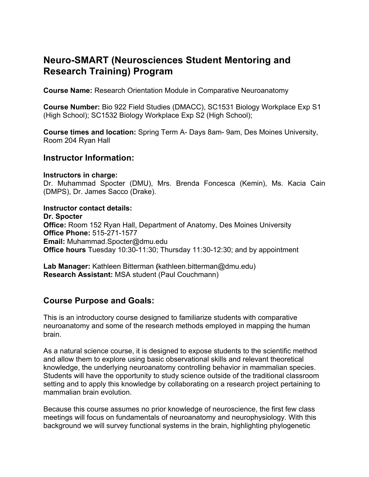# **Neuro-SMART (Neurosciences Student Mentoring and Research Training) Program**

**Course Name:** Research Orientation Module in Comparative Neuroanatomy

**Course Number:** Bio 922 Field Studies (DMACC), SC1531 Biology Workplace Exp S1 (High School); SC1532 Biology Workplace Exp S2 (High School);

**Course times and location:** Spring Term A- Days 8am- 9am, Des Moines University, Room 204 Ryan Hall

#### **Instructor Information:**

#### **Instructors in charge:**

Dr. Muhammad Spocter (DMU), Mrs. Brenda Foncesca (Kemin), Ms. Kacia Cain (DMPS), Dr. James Sacco (Drake).

**Instructor contact details: Dr. Spocter Office:** Room 152 Ryan Hall, Department of Anatomy, Des Moines University **Office Phone:** 515-271-1577 **Email:** Muhammad.Spocter@dmu.edu **Office hours** Tuesday 10:30-11:30; Thursday 11:30-12:30; and by appointment

**Lab Manager:** Kathleen Bitterman **(**kathleen.bitterman@dmu.edu) **Research Assistant:** MSA student (Paul Couchmann)

### **Course Purpose and Goals:**

This is an introductory course designed to familiarize students with comparative neuroanatomy and some of the research methods employed in mapping the human brain.

As a natural science course, it is designed to expose students to the scientific method and allow them to explore using basic observational skills and relevant theoretical knowledge, the underlying neuroanatomy controlling behavior in mammalian species. Students will have the opportunity to study science outside of the traditional classroom setting and to apply this knowledge by collaborating on a research project pertaining to mammalian brain evolution.

Because this course assumes no prior knowledge of neuroscience, the first few class meetings will focus on fundamentals of neuroanatomy and neurophysiology. With this background we will survey functional systems in the brain, highlighting phylogenetic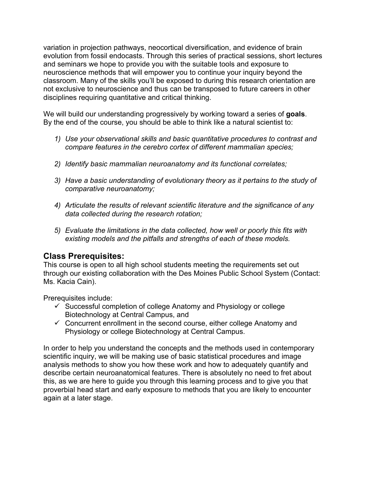variation in projection pathways, neocortical diversification, and evidence of brain evolution from fossil endocasts. Through this series of practical sessions, short lectures and seminars we hope to provide you with the suitable tools and exposure to neuroscience methods that will empower you to continue your inquiry beyond the classroom. Many of the skills you'll be exposed to during this research orientation are not exclusive to neuroscience and thus can be transposed to future careers in other disciplines requiring quantitative and critical thinking.

We will build our understanding progressively by working toward a series of **goals**. By the end of the course, you should be able to think like a natural scientist to:

- *1) Use your observational skills and basic quantitative procedures to contrast and compare features in the cerebro cortex of different mammalian species;*
- *2) Identify basic mammalian neuroanatomy and its functional correlates;*
- *3) Have a basic understanding of evolutionary theory as it pertains to the study of comparative neuroanatomy;*
- *4) Articulate the results of relevant scientific literature and the significance of any data collected during the research rotation;*
- *5) Evaluate the limitations in the data collected, how well or poorly this fits with existing models and the pitfalls and strengths of each of these models.*

# **Class Prerequisites:**

This course is open to all high school students meeting the requirements set out through our existing collaboration with the Des Moines Public School System (Contact: Ms. Kacia Cain).

Prerequisites include:

- $\checkmark$  Successful completion of college Anatomy and Physiology or college Biotechnology at Central Campus, and
- $\checkmark$  Concurrent enrollment in the second course, either college Anatomy and Physiology or college Biotechnology at Central Campus.

In order to help you understand the concepts and the methods used in contemporary scientific inquiry, we will be making use of basic statistical procedures and image analysis methods to show you how these work and how to adequately quantify and describe certain neuroanatomical features. There is absolutely no need to fret about this, as we are here to guide you through this learning process and to give you that proverbial head start and early exposure to methods that you are likely to encounter again at a later stage.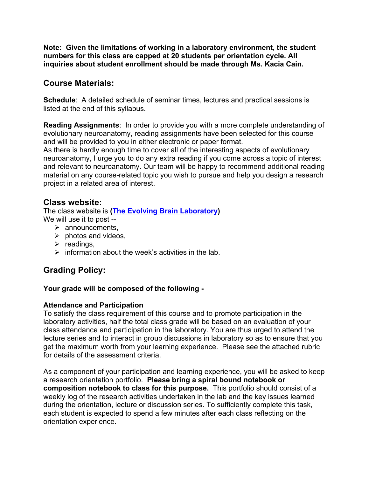**Note: Given the limitations of working in a laboratory environment, the student numbers for this class are capped at 20 students per orientation cycle. All inquiries about student enrollment should be made through Ms. Kacia Cain.**

### **Course Materials:**

**Schedule**: A detailed schedule of seminar times, lectures and practical sessions is listed at the end of this syllabus.

**Reading Assignments**: In order to provide you with a more complete understanding of evolutionary neuroanatomy, reading assignments have been selected for this course and will be provided to you in either electronic or paper format.

As there is hardly enough time to cover all of the interesting aspects of evolutionary neuroanatomy, I urge you to do any extra reading if you come across a topic of interest and relevant to neuroanatomy. Our team will be happy to recommend additional reading material on any course-related topic you wish to pursue and help you design a research project in a related area of interest.

### **Class website:**

The class website is **(The Evolving Brain Laboratory)** We will use it to post --

- $\triangleright$  announcements,
- $\triangleright$  photos and videos,
- $\triangleright$  readings,
- $\triangleright$  information about the week's activities in the lab.

# **Grading Policy:**

#### **Your grade will be composed of the following -**

#### **Attendance and Participation**

To satisfy the class requirement of this course and to promote participation in the laboratory activities, half the total class grade will be based on an evaluation of your class attendance and participation in the laboratory. You are thus urged to attend the lecture series and to interact in group discussions in laboratory so as to ensure that you get the maximum worth from your learning experience. Please see the attached rubric for details of the assessment criteria.

As a component of your participation and learning experience, you will be asked to keep a research orientation portfolio. **Please bring a spiral bound notebook or composition notebook to class for this purpose.** This portfolio should consist of a weekly log of the research activities undertaken in the lab and the key issues learned during the orientation, lecture or discussion series. To sufficiently complete this task, each student is expected to spend a few minutes after each class reflecting on the orientation experience.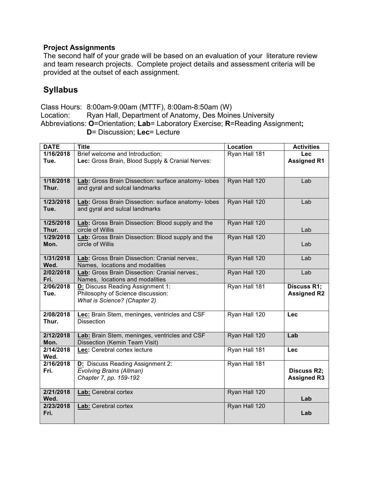#### **Project Assignments**

The second half of your grade will be based on an evaluation of your literature review and team research projects. Complete project details and assessment criteria will be provided at the outset of each assignment.

### **Syllabus**

Class Hours: 8:00am-9:00am (MTTF), 8:00am-8:50am (W) Location: Ryan Hall, Department of Anatomy, Des Moines University Abbreviations: **O**=Orientation; **Lab**= Laboratory Exercise; **R**=Reading Assignment**; D**= Discussion; **Lec**= Lecture

| <b>DATE</b>             | <b>Title</b>                                        | Location      | <b>Activities</b>  |
|-------------------------|-----------------------------------------------------|---------------|--------------------|
| $\overline{1/1}$ 6/2018 | Brief welcome and Introduction;                     | Ryan Hall 181 | Lec                |
| Tue.                    | Lec: Gross Brain, Blood Supply & Cranial Nerves:    |               | <b>Assigned R1</b> |
|                         |                                                     |               |                    |
|                         |                                                     |               |                    |
| 1/18/2018               | Lab: Gross Brain Dissection: surface anatomy- lobes | Ryan Hall 120 | Lab                |
| Thur.                   | and gyral and sulcal landmarks                      |               |                    |
|                         |                                                     |               |                    |
| 1/23/2018               | Lab: Gross Brain Dissection: surface anatomy- lobes | Ryan Hall 120 | Lab                |
| Tue.                    | and gyral and sulcal landmarks                      |               |                    |
|                         |                                                     |               |                    |
| 1/25/2018               | Lab: Gross Brain Dissection: Blood supply and the   | Ryan Hall 120 |                    |
| Thur.                   | circle of Willis                                    |               | Lab                |
| 1/29/2018               | Lab: Gross Brain Dissection: Blood supply and the   | Ryan Hall 120 |                    |
| Mon.                    | circle of Willis                                    |               | Lab                |
|                         |                                                     |               |                    |
| 1/31/2018               | Lab: Gross Brain Dissection: Cranial nerves:,       | Ryan Hall 120 | Lab                |
| Wed.                    | Names, locations and modalities                     |               |                    |
| 2/02/2018               | Lab: Gross Brain Dissection: Cranial nerves:,       | Ryan Hall 120 | Lab                |
| Fri.                    | Names, locations and modalities                     |               |                    |
| 2/06/2018               | D: Discuss Reading Assignment 1:                    | Ryan Hall 181 | <b>Discuss R1;</b> |
| Tue.                    | Philosophy of Science discussion:                   |               | <b>Assigned R2</b> |
|                         | What is Science? (Chapter 2)                        |               |                    |
|                         |                                                     |               |                    |
| 2/08/2018               | Lec: Brain Stem, meninges, ventricles and CSF       | Ryan Hall 120 | <b>Lec</b>         |
| Thur.                   | <b>Dissection</b>                                   |               |                    |
|                         |                                                     |               |                    |
| 2/12/2018               | Lab: Brain Stem, meninges, ventricles and CSF       | Ryan Hall 120 | Lab                |
| Mon.                    | Dissection (Kemin Team Visit)                       |               |                    |
| 2/14/2018               | Lec: Cerebral cortex lecture                        | Ryan Hall 181 | <b>Lec</b>         |
| Wed.                    |                                                     |               |                    |
| 2/16/2018               | D: Discuss Reading Assignment 2:                    | Ryan Hall 181 |                    |
| Fri.                    | Evolving Brains (Allman)                            |               | <b>Discuss R2;</b> |
|                         | Chapter 7, pp. 159-192                              |               | <b>Assigned R3</b> |
|                         |                                                     |               |                    |
| 2/21/2018               | Lab: Cerebral cortex                                | Ryan Hall 120 |                    |
| Wed.                    |                                                     |               | Lab                |
| 2/23/2018               | Lab: Cerebral cortex                                | Ryan Hall 120 |                    |
| Fri.                    |                                                     |               | Lab                |
|                         |                                                     |               |                    |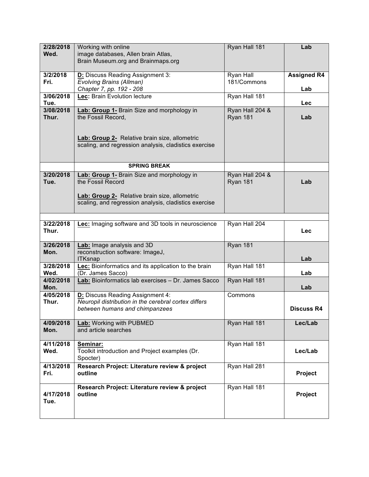| 2/28/2018<br>Wed.  | Working with online<br>image databases, Allen brain Atlas,                                             | Ryan Hall 181               | Lab                |
|--------------------|--------------------------------------------------------------------------------------------------------|-----------------------------|--------------------|
|                    | Brain Museum.org and Brainmaps.org                                                                     |                             |                    |
| 3/2/2018           | D: Discuss Reading Assignment 3:                                                                       | <b>Ryan Hall</b>            | <b>Assigned R4</b> |
| Fri.               | <b>Evolving Brains (Allman)</b><br>Chapter 7, pp. 192 - 208                                            | 181/Commons                 | Lab                |
| 3/06/2018<br>Tue.  | Lec: Brain Evolution lecture                                                                           | Ryan Hall 181               | Lec                |
| 3/08/2018<br>Thur. | Lab: Group 1- Brain Size and morphology in<br>the Fossil Record,                                       | Ryan Hall 204 &<br>Ryan 181 | Lab                |
|                    |                                                                                                        |                             |                    |
|                    | Lab: Group 2- Relative brain size, allometric<br>scaling, and regression analysis, cladistics exercise |                             |                    |
|                    | <b>SPRING BREAK</b>                                                                                    |                             |                    |
| 3/20/2018          | Lab: Group 1- Brain Size and morphology in                                                             | Ryan Hall 204 &             |                    |
| Tue.               | the Fossil Record                                                                                      | Ryan 181                    | Lab                |
|                    | Lab: Group 2- Relative brain size, allometric                                                          |                             |                    |
|                    | scaling, and regression analysis, cladistics exercise                                                  |                             |                    |
| 3/22/2018          | Lec: Imaging software and 3D tools in neuroscience                                                     | Ryan Hall 204               |                    |
| Thur.              |                                                                                                        |                             | <b>Lec</b>         |
| 3/26/2018<br>Mon.  | Lab: Image analysis and 3D<br>reconstruction software: ImageJ,                                         | Ryan 181                    |                    |
|                    | <b>ITKsnap</b>                                                                                         |                             | Lab                |
| 3/28/2018<br>Wed.  | Lec: Bioinformatics and its application to the brain<br>(Dr. James Sacco)                              | Ryan Hall 181               | Lab                |
| 4/02/2018<br>Mon.  | Lab: Bioinformatics lab exercises - Dr. James Sacco                                                    | Ryan Hall 181               | Lab                |
| 4/05/2018<br>Thur. | D: Discuss Reading Assignment 4:<br>Neuropil distribution in the cerebral cortex differs               | Commons                     |                    |
|                    | between humans and chimpanzees                                                                         |                             | <b>Discuss R4</b>  |
| 4/09/2018<br>Mon.  | Lab: Working with PUBMED<br>and article searches                                                       | Ryan Hall 181               | Lec/Lab            |
| 4/11/2018          | Seminar:                                                                                               | Ryan Hall 181               |                    |
| Wed.               | Toolkit introduction and Project examples (Dr.<br>Spocter)                                             |                             | Lec/Lab            |
| 4/13/2018<br>Fri.  | Research Project: Literature review & project<br>outline                                               | Ryan Hall 281               | Project            |
| 4/17/2018<br>Tue.  | Research Project: Literature review & project<br>outline                                               | Ryan Hall 181               | Project            |